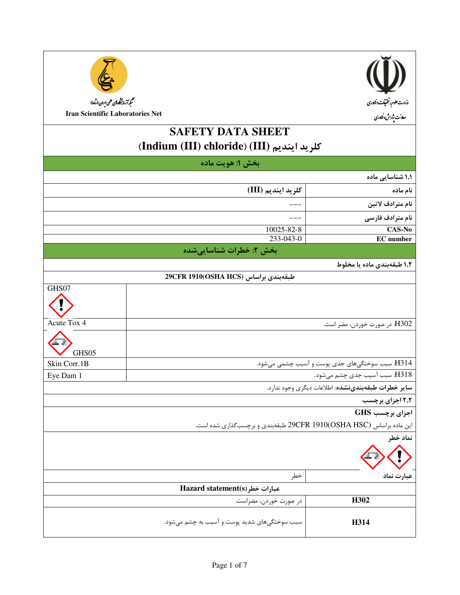| $(\mathbf{I})$<br>وزارت علوم، تحتيقات وخناورى |
|-----------------------------------------------|
| معاونت بژوہش وفناوری                          |
|                                               |
|                                               |



سم<br>سمبد آزمایشگاه پس علمی ایران (ساعا) **Iran Scientific Laboratories Net** 

# **SAFETY DATA SHEET** (Indium (III) chloride) (III) كلريد اينديم

|                                                                     | بخش ۱: هويت ماده                             |                                                 |
|---------------------------------------------------------------------|----------------------------------------------|-------------------------------------------------|
|                                                                     |                                              | ۱٫۱ شناسایی ماده                                |
|                                                                     | كلريد اينديم (III)                           | نام ماده                                        |
|                                                                     |                                              | نام مترادف لاتين                                |
|                                                                     |                                              | نام مترادف فارسی                                |
|                                                                     | 10025-82-8                                   | CAS-No                                          |
|                                                                     | 233-043-0                                    | <b>EC</b> number                                |
|                                                                     | بخش ۲: خطرات شناساییشده                      |                                                 |
|                                                                     |                                              | ۱٫۲ طبقهبندی ماده یا مخلوط                      |
|                                                                     | طبقەبندى براساس (OSHA HCS)1910(OSHA HCS)     |                                                 |
| GHS07                                                               |                                              |                                                 |
|                                                                     |                                              |                                                 |
| Acute Tox 4                                                         |                                              | H302: در صورت خوردن، مضر است.                   |
|                                                                     |                                              |                                                 |
| GHS05                                                               |                                              |                                                 |
| Skin Corr.1B                                                        |                                              | H314: سبب سوختگیهای جدی پوست و آسیب چشمی میشود. |
| Eye Dam 1                                                           |                                              | H318: سبب أسيب جدى چشم مىشود.                   |
| ساير خطرات طبقهبندىنشده: اطلاعات ديگرى وجود ندارد.                  |                                              |                                                 |
| ۲٫۲ اجزای برچسب                                                     |                                              |                                                 |
|                                                                     |                                              | اجزای برچسب GHS                                 |
| این ماده براساس 29CFR 1910(OSHA HSC) طبقهبندی و برچسبگذاری شده است. |                                              |                                                 |
|                                                                     |                                              | نماد خطر                                        |
|                                                                     |                                              |                                                 |
|                                                                     | خطر                                          | عبارت نماد                                      |
| Hazard statement(s) عبارات خطر                                      |                                              |                                                 |
|                                                                     | در صورت خوردن، مضراست.                       | H302                                            |
|                                                                     | سبب سوختگیهای شدید پوست و آسیب به چشم میشود. | H314                                            |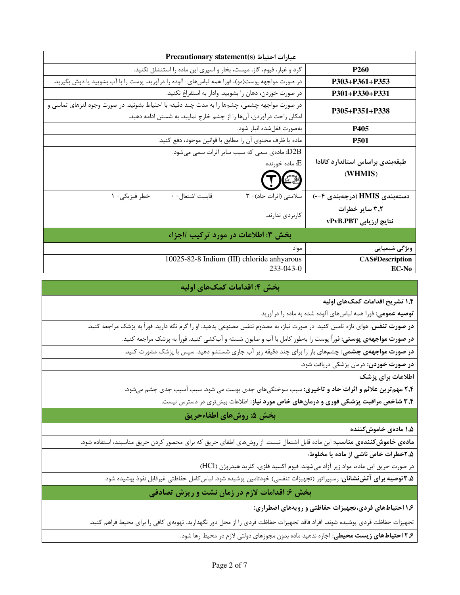| Precautionary statement(s) عبارات احتياط                                                        |                                  |  |
|-------------------------------------------------------------------------------------------------|----------------------------------|--|
| گرد و غبار، فیوم، گاز، میست، بخار و اسپری این ماده را استنشاق نکنید.                            | <b>P260</b>                      |  |
| در صورت مواجهه پوست(مو)، فورا همه لباسهای آلوده را درآورید. پوست را با آب بشویید یا دوش بگیرید. | $P303 + P361 + P353$             |  |
| در صورت خوردن، دهان را بشوييد. وادار به استفراغ نكنيد.                                          | $P301 + P330 + P331$             |  |
| در صورت مواجهه چشمی، چشمها را به مدت چند دقیقه با احتیاط بشوئید. در صورت وجود لنزهای تماسی و    | P305+P351+P338                   |  |
| امکان راحت درآوردن، آنها را از چشم خارج نمایید. به شستن ادامه دهید.                             |                                  |  |
| بەصورت قفلشده انبار شود.                                                                        | <b>P405</b>                      |  |
| ماده يا ظرف محتوى آن را مطابق با قوانين موجود، دفع كنيد.                                        | <b>P501</b>                      |  |
| D2B: مادەی سمی کە سبب سایر اثرات سمی میشود.                                                     |                                  |  |
| ا ماده خورنده: $\mathrm{E}% _{t}\left( t_{0}\right)$                                            | طبقهبندى براساس استاندارد كانادا |  |
|                                                                                                 | (WHMIS)                          |  |
| قابليت اشتعال= ٠<br>سلامتی (اثرات حاد)= ۳<br>خطر فيزيكي= ١                                      | دستەبندى HMIS (درجەبندى ۴−۰)     |  |
|                                                                                                 | ۳٫۲ سایر خطرات                   |  |
| كاربردى ندارند.                                                                                 | نتایج ارزیابی vPvB.PBT           |  |
| بخش ٣: اطلاعات در مورد تركيب /اجزاء                                                             |                                  |  |
| مواد                                                                                            | ویژگی شیمیایی                    |  |
| 10025-82-8 Indium (III) chloride anhyarous                                                      | <b>CAS#Description</b>           |  |
| $233 - 043 - 0$                                                                                 | <b>EC-No</b>                     |  |

### بخش ۴: اقدامات کمکهای اولیه

۱٫۴ تشریح اقدامات کمکهای اولیه

**توصیه عمومی:** فورا همه لباسهای آلوده شده به ماده را درآورید

**در صورت تنفس**: هوای تازه تامین کنید. در صورت نیاز، به مصدوم تنفس مصنوعی بدهید. او را گرم نگه دارید. فوراً به پزشک مراجعه کنید.

**در صورت مواجههی پوستی:** فوراً پوست را بهطور کامل با آب و صابون شسته و آبکشی کنید. فوراً به پزشک مراجعه کنید.

**در صورت مواجههی چشمی:** چشمهای باز را برای چند دقیقه زیر آب جاری شستشو دهید. سپس با پزشک مشورت کنید.

**در صورت خوردن**: درمان پزشکی دریافت شود.

اطلاعات براي يزشك

**۲٫۴ مهم ترین علائم و اثرات حاد و تاخیری:** سبب سوختگیهای جدی پوست می شود. سبب آسیب جدی چشم میشود.

۳٫۴ شاخص مراقبت پزشکی فوری و درمانهای خاص مورد نیاز: اطلاعات بیش تری در دسترس نیست.

### بخش ۵: روشهای اطفاءحریق

۱٫۵ مادەي خاموش *ك*نندە

م**ادهی خاموش کنندهی مناسب**: این ماده قابل اشتعال نیست. از روشهای اطفای حریق که برای محصور کردن حریق مناسبند، استفاده شود.

۲٫۵خطرات خاص ناشی از ماده یا مخلوط:

در صورت حريق اين ماده، مواد زير آزاد ميشوند: فيوم اكسيد فلزي. كلريد هيدروژن (HCl)

**۳٫۵ توصیه برای آتشنشانان**: رسپیراتور (تجهیزات تنفسی) خودتامین پوشیده شود. لباس کامل حفاظتی غیرقابل نفوذ پوشیده شود.

بخش ۶: اقدامات لازم در زمان نشت و ریزش تصادفی

۱٫۶ احتیاطهای فردی،تجهیزات حفاظتی و رویههای اضطراری:

تجهیزات حفاظت فردی پوشیده شوند. افراد فاقد تجهیزات حفاظت فردی را از محل دور نگهدارید. تهویهی کافی را برای محیط فراهم کنید.

۲٫۶ احتیاطهای زیست محیطی: اجازه ندهید ماده بدون مجوزهای دولتی لازم در محیط رها شود.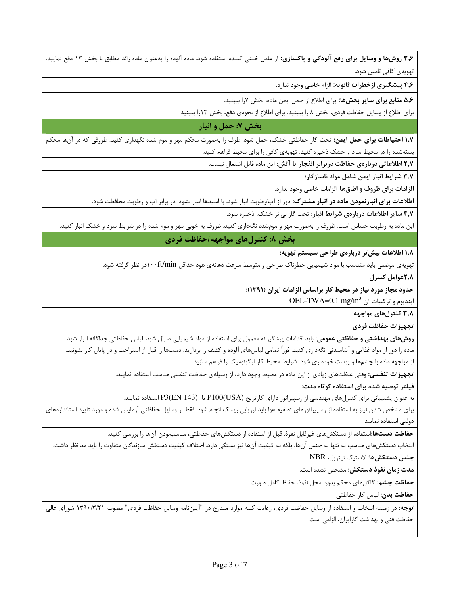۳٫۶ روشها و وسایل برای رفع آلودگی و پاکسازی: از عامل خنثی کننده استفاده شود. ماده آلوده را بهعنوان ماده زائد مطابق با بخش ۱۳ دفع نمایید. تھویەی کافی تامین شود.

۴٫۶ پیشگیری ازخطرات ثانویه: الزام خاصی وجود ندارد.

۵٫۶ منابع برای سایر بخشها: برای اطلاع از حمل ایمن ماده، بخش ۷٫ا ببینید.

برای اطلاع از وسایل حفاظت فردی، بخش ۸ را ببینید. برای اطلاع از نحوهی دفع، بخش ۱۳را ببینید.

# بخش ۷: حمل و انبار

**۱٫۷ احتیاطات برای حمل ایمن:** تحت گاز حفاظتی خشک، حمل شود. ظرف را بهصورت محکم مهر و موم شده نگهداری کنید. ظروفی که در آنها محکم بستهشده را در محیط سرد و خشک ذخیره کنید. تهویهی کافی را برای محیط فراهم کنید.

۲٫۷ اطلاعاتی دربارهی حفاظت دربرابر انفجار یا آتش: این ماده قابل اشتعال نیست.

۳٫۷ شرایط انبار ایمن شامل مواد ناسازگار:

**الزامات برای ظروف و اطاقها**: الزامات خاصی وجود ندارد.

**اطلاعات برای انبارنمودن ماده در انبار مشترک**: دور از آب/رطوبت انبار شود. با اسیدها انبار نشود. در برابر آب و رطوبت محافظت شود.

۴٫۷ سایر اطلاعات دربارهی شرایط انبار: تحت گاز بی اثر خشک، ذخیره شود.

این ماده به رطوبت حساس است. ظروف را بهصورت مهر و مومشده نگهداری کنید. ظروف به خوبی مهر و موم شده را در شرایط سرد و خشک انبار کنید.

## بخش ٨: كنترلهاى مواجهه /حفاظت فردى

۱٫۸ اطلاعات بیش تر دربارهی طراحی سیستم تهویه:

تهویهی موضعی باید متناسب با مواد شیمیایی خطرناک طراحی و متوسط سرعت دهانهی هود حداقل ۱۰۰ft/minدر نظر گرفته شود.

٢,٨عوامل كنترل

حدود مجاز مورد نیاز در محیط کار براساس الزامات ایران (۱۳۹۱):

OEL-TWA=0.1 mg/m<sup>3</sup> ایندیوم و ترکیبات آن

۳٫۸ کنترلهای مواجهه:

تجهيزات حفاظت فردى

**روشهای بهداشتی و حفاظتی عمومی**: باید اقدامات پیشگیرانه معمول برای استفاده از مواد شیمیایی دنبال شود. لباس حفاظتی جداگانه انبار شود. ماده را دور از مواد غذایی و آشامیدنی نگهداری کنید. فوراً تمامی لباسهای آلوده و کثیف را بردارید. دستها را قبل از استراحت و در پایان کار بشوئید. از مواجهه ماده با چشمها و پوست خودداری شود. شرایط محیط کار ارگونومیک را فراهم سازید.

تجهیزات تنفسی: وقتی غلظتهای زیادی از این ماده در محیط وجود دارد، از وسیلهی حفاظت تنفسی مناسب استفاده نمایید.

### فیلتر توصیه شده برای استفاده کوتاه مدت:

به عنوان پشتیبانی برای کنترلهای مهندسی از رسپیراتور دارای کارتریج (P100(USA یا P3(EN 143) استفاده نمایید.

برای مشخص شدن نیاز به استفاده از رسپیراتورهای تصفیه هوا باید ارزیابی ریسک انجام شود. فقط از وسایل حفاظتی آزمایش شده و مورد تایید استانداردهای دولتى استفاده نماييد

حفاظت دستها:استفاده از دستکشهای غیرقابل نفوذ. قبل از استفاده از دستکشهای حفاظتی، مناسببودن آنها را بررسی کنید.

انتخاب دستكش۵ای مناسب نه تنها به جنس آنها، بلكه به كيفيت آنها نيز بستگي دارد. اختلاف كيفيت دستكش سازندگان متفاوت را بايد مد نظر داشت. جنس دستكشها: لاستيك نيتريل، NBR

مدت زمان نفوذ دستكش: مشخص نشده است.

**حفاظت چشم:** گاگلهای محکم بدون محل نفوذ، حفاظ کامل صورت.

حفاظت بدن: لباس كار حفاظتى

توجه: در زمینه انتخاب و استفاده از وسایل حفاظت فردی، رعایت کلیه موارد مندرج در "آییننامه وسایل حفاظت فردی" مصوب ۱۳۹۰/۳/۲۱ شورای عالی حفاظت فنی و بهداشت کارایران، الزامی است.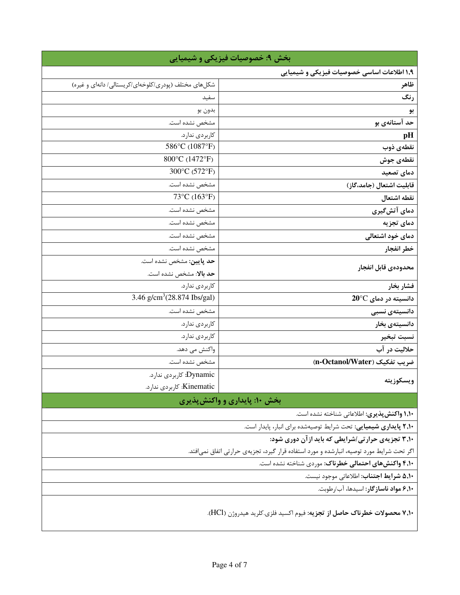| بخش ۹: خصوصیات فیزیکی و شیمیایی                                                           |                                                      |
|-------------------------------------------------------------------------------------------|------------------------------------------------------|
| ۱٫۹ اطلاعات اساسی خصوصیات فیزیکی و شیمیایی                                                |                                                      |
| ظاهر                                                                                      | شکلهای مختلف (پودری/کلوخهای/کریستالی/ دانهای و غیره) |
| رنگ                                                                                       | سفيد                                                 |
| بو                                                                                        | بدون بو                                              |
| حد آستانهی بو                                                                             | مشخص نشده است.                                       |
| pH                                                                                        | كاربردي ندارد.                                       |
| نقطهي ذوب                                                                                 | 586°C (1087°F)                                       |
| نقطەي جوش                                                                                 | 800°C (1472°F)                                       |
| دمای تصعید                                                                                | 300°C (572°F)                                        |
| قابليت اشتعال (جامد،گاز)                                                                  | مشخص نشده است.                                       |
| نقطه اشتعال                                                                               | 73°C (163°F)                                         |
| دمای آتشگیری                                                                              | مشخص نشده است.                                       |
| دمای تجزیه                                                                                | مشخص نشده است.                                       |
| دمای خود اشتعالی                                                                          | مشخص نشده است.                                       |
| خطر انفجار                                                                                | مشخص نشده است.                                       |
|                                                                                           | حد پایین: مشخص نشده است.                             |
| محدودهى قابل انفجار                                                                       | حد بالا: مشخص نشده است.                              |
| فشار بخار                                                                                 | كاربردى ندارد.                                       |
| $20^{\circ}$ C دانسیته در دمای                                                            | 3.46 g/cm <sup>3</sup> (28.874 Ibs/gal)              |
| دانسیتەی نسبی                                                                             | مشخص نشده است.                                       |
| دانسيتەي بخار                                                                             | كاربردي ندارد.                                       |
| نسبت تبخير                                                                                | كاربردى ندارد.                                       |
| حلاليت در آب                                                                              | واكنش مى دهد.                                        |
| ضريب تفكيك (n-Octanol/Water)                                                              | مشخص نشده است.                                       |
|                                                                                           | Dynamic: كاربردى ندارد.                              |
| ويسكوزيته                                                                                 | Kinematic: كاربردى ندارد.                            |
| بخش ۱۰: پایداری و واکنش پذیری                                                             |                                                      |
| <b>۱٬۱۰ واکنش پذیری:</b> اطلاعاتی شناخته نشده است.                                        |                                                      |
| ۲٫۱۰ پایداری شیمیایی: تحت شرایط توصیهشده برای انبار، پایدار است.                          |                                                      |
| ۳٫۱۰ تجزیهی حرارتی /شرایطی که باید ازآن دوری شود:                                         |                                                      |
| اگر تحت شرایط مورد توصیه، انبارشده و مورد استفاده قرار گیرد، تجزیهی حرارتی اتفاق نمی فتد. |                                                      |
| ۴٫۱۰ واکنشهای احتمالی خطرناک: موردی شناخته نشده است.                                      |                                                      |
| ۵٬۱۰ شرايط اجتناب: اطلاعاتي موجود نيست.                                                   |                                                      |
| ۶٬۱۰ مواد ناسازگار: اسیدها، آب/رطوبت.                                                     |                                                      |
| ۷٬۱۰ محصولات خطرناک حاصل از تجزیه: فیوم اکسید فلزی.کلرید هیدروژن (HCl).                   |                                                      |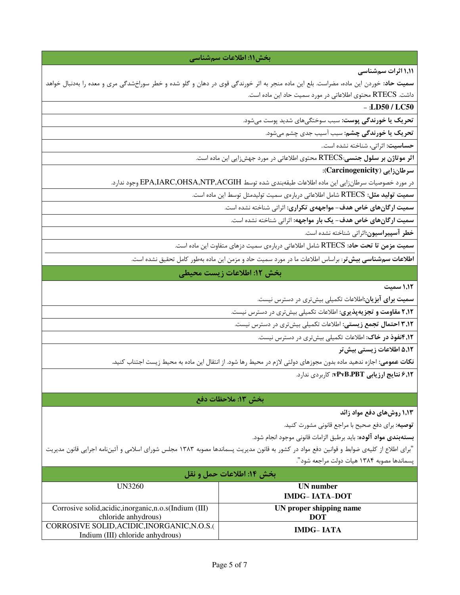### بخش ١١: اطلاعات سمشناسي

۱٬۱۱ اثرات سم شناسی

**سمیت حاد**: خوردن این ماده، مضراست. بلع این ماده منجر به اثر خورندگی قوی در دهان و گلو شده و خطر سوراخشدگی مری و معده را بهدنبال خواهد داشت. RTECS محتوى اطلاعاتي در مورد سميت حاد اين ماده است.

### $-$  :LD50 / LC50

تحریک یا خورندگی پوست: سبب سوختگیهای شدید پوست میشود.

تحریک یا خورندگی چشم: سبب آسیب جدی چشم میشود.

<mark>حساسیت:</mark> اثراتی، شناخته نشده است..

اثر موتاژن بر سلول جنسی:RTECS محتوی اطلاعاتی در مورد جهشزایی این ماده است.

سرطان زايي (Carcinogenicity):

در مورد خصوصیات سرطانزایی این ماده اطلاعات طبقهبندی شده توسط EPA,IARC,OHSA,NTP,ACGIH وجود ندارد.

سمیت تولید مثل: RTECS شامل اطلاعاتی دربارهی سمیت تولیدمثل توسط این ماده است.

سمیت ارگانهای خاص هدف– مواجههی تکراری: اثراتی شناخته نشده است.

سمیت ارگانهای خاص هدف- یک بار مواجهه: اثرات<sub>ی</sub> شناخته نشده است.

خطر آسپیراسیون:اثراتی شناخته نشده است.

سمیت مزمن تا تحت حاد: RTECS شامل اطلاعاتی دربارهی سمیت دزهای متفاوت این ماده است.

ا**طلاعات سم٬شناسی بیش تر**: براساس اطلاعات ما در مورد سمیت حاد و مزمن این ماده بهطور کامل تحقیق نشده است.

### بخش ١٢: اطلاعات زيست محيطي

1,1٢ سميت

**سمیت برای آبزیان**:اطلاعات تکمیلی بیشتری در دسترس نیست.

۲٫۱۲ مقاومت و تجزیهپذیری: اطلاعات تکمیلی بیشتری در دسترس نیست.

**۳٫۱۲ احتمال تجمع زیستی:** اطلاعات تکمیلی بیشتری در دسترس نیست.

۰۱**۲, انفوذ در خاک:** اطلاعات تکمیلی بیشتری در دسترس نیست.

۵٬۱۲ اطلاعات زیستی بیش تر

**نکات عمومی**: اجازه ندهید ماده بدون مجوزهای دولتی لازم در محیط رها شود. از انتقال این ماده به محیط زیست اجتناب کنید.

۶٫۱۲ نتایج ارزیابی vPvB،PBT: کاربردی ندارد.

#### بخش ١٣: ملاحظات دفع

۱٬۱۳ روشهای دفع مواد زائد

**توصیه:** برای دفع صحیح با مراجع قانونی مشورت کنید.

**بستهبندي مواد آلوده:** بايد برطبق الزامات قانوني موجود انجام شود.

"برای اطلاع از کلیهی ضوابط و قوانین دفع مواد در کشور به قانون مدیریت پسماندها مصوبه ۱۳۸۳ مجلس شورای اسلامی و آئیننامه اجرایی قانون مدیریت پسماندها مصوبه ۱۳۸۴ هیات دولت مراجعه شود".

| ّ بخش ١٤: اطلاعات حمل و نقل                             |                         |  |
|---------------------------------------------------------|-------------------------|--|
| UN3260                                                  | UN number               |  |
|                                                         | <b>IMDG-IATA-DOT</b>    |  |
| Corrosive solid, acidic, inorganic, n.o.s (Indium (III) | UN proper shipping name |  |
| chloride anhydrous)                                     | <b>DOT</b>              |  |
| CORROSIVE SOLID, ACIDIC, INORGANIC, N.O.S.              | <b>IMDG-IATA</b>        |  |
| Indium (III) chloride anhydrous)                        |                         |  |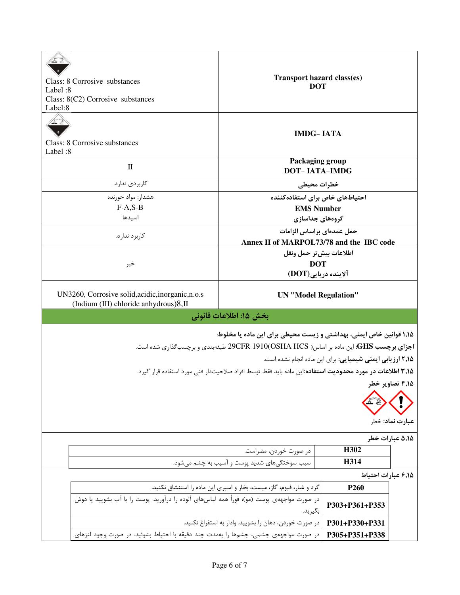| Class: 8 Corrosive substances<br>Label:8<br>Class: 8(C2) Corrosive substances<br>Label:8                                                                     | Transport hazard class(es)<br><b>DOT</b>                                                                        |                                                           |                 |
|--------------------------------------------------------------------------------------------------------------------------------------------------------------|-----------------------------------------------------------------------------------------------------------------|-----------------------------------------------------------|-----------------|
| Class: 8 Corrosive substances<br>Label:8                                                                                                                     | <b>IMDG-IATA</b>                                                                                                |                                                           |                 |
| $\mathbf{I}$                                                                                                                                                 | Packaging group<br><b>DOT-IATA-IMDG</b>                                                                         |                                                           |                 |
| كاربردى ندارد.                                                                                                                                               | خطرات محيطي                                                                                                     |                                                           |                 |
| هشدار: مواد خورنده                                                                                                                                           | احتیاطهای خاص برای استفاده کننده                                                                                |                                                           |                 |
| $F-A.S-B$                                                                                                                                                    | <b>EMS Number</b>                                                                                               |                                                           |                 |
| اسيدها                                                                                                                                                       | گروههای جداسازی                                                                                                 |                                                           |                 |
| كاربرد ندارد.                                                                                                                                                | حمل عمدهای براساس الزامات<br>Annex II of MARPOL73/78 and the IBC code                                           |                                                           |                 |
|                                                                                                                                                              | اطلاعات بيش تر حمل ونقل                                                                                         |                                                           |                 |
| خير                                                                                                                                                          | <b>DOT</b>                                                                                                      |                                                           |                 |
|                                                                                                                                                              | آلاينده دريايي(DOT)                                                                                             |                                                           |                 |
| UN3260, Corrosive solid, acidic, inorganic, n.o.s<br>(Indium (III) chloride anhydrous)8,II                                                                   | <b>UN</b> "Model Regulation"                                                                                    |                                                           |                 |
|                                                                                                                                                              | بخش ۱۵: اطلاعات قانونی                                                                                          |                                                           |                 |
| ۱٬۱۵ قوانین خاص ایمنی، بهداشتی و زیست محیطی برای این ماده یا مخلوط:<br>اجزای برچسب GHS: این ماده بر اساس( OSHA HCS)29CFR 1910 طبقهبندی و برچسبگذاری شده است. |                                                                                                                 |                                                           |                 |
|                                                                                                                                                              |                                                                                                                 | ۲٫۱۵ ارزیابی ایمنی شیمیایی: برای این ماده انجام نشده است. |                 |
|                                                                                                                                                              | <b>۳٬۱۵ اطلاعات در مورد محدودیت استفاده:</b> این ماده باید فقط توسط افراد صلاحیتدار فنی مورد استفاده قرار گیرد. |                                                           |                 |
| ۴٬۱۵ تصاویر خطر<br>عبارت نماد: خطر                                                                                                                           |                                                                                                                 |                                                           |                 |
|                                                                                                                                                              |                                                                                                                 |                                                           | ۵٬۱۵ عبارات خطر |
|                                                                                                                                                              | در صورت خوردن، مضراست.                                                                                          | H302                                                      |                 |
|                                                                                                                                                              | سبب سوختگیهای شدید پوست و آسیب به چشم میشود.                                                                    | H314                                                      |                 |
|                                                                                                                                                              |                                                                                                                 | ۶٬۱۵ عبارات احتياط                                        |                 |
|                                                                                                                                                              | گرد و غبار، فیوم، گاز، میست، بخار و اسپری این ماده را استنشاق نکنید.                                            | P <sub>260</sub>                                          |                 |
| در صورت مواجههی پوست (مو)، فوراً همه لباسهای آلوده را درآورید. پوست را با آب بشویید یا دوش                                                                   | بگيريد.                                                                                                         | P303+P361+P353                                            |                 |
|                                                                                                                                                              | در صورت خوردن، دهان را بشوييد. وادار به استفراغ نكنيد.                                                          | P301+P330+P331                                            |                 |
| در صورت مواجههی چشمی، چشمها را بهمدت چند دقیقه با احتیاط بشوئید. در صورت وجود لنزهای                                                                         |                                                                                                                 | P305+P351+P338                                            |                 |